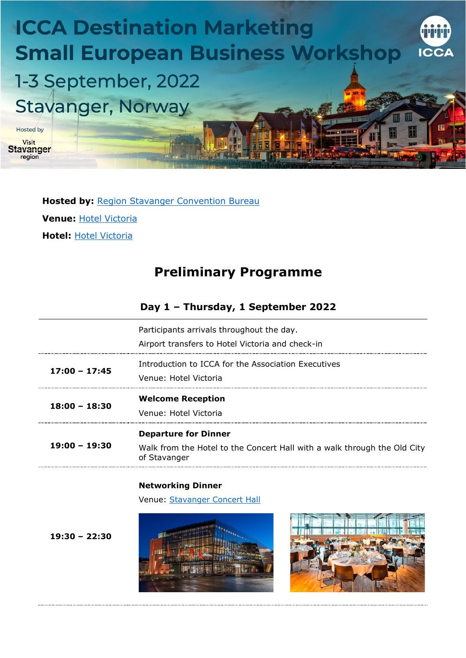

**Hosted by:** [Region Stavanger Convention Bureau](https://www.regionstavanger-ryfylke.com/) **Venue:** [Hotel Victoria](https://www.hotel-victoria.no/) **Hotel:** [Hotel Victoria](https://www.hotel-victoria.no/)

# **Preliminary Programme**

### **Day 1 – Thursday, 1 September 2022**

|                 | Participants arrivals throughout the day.<br>Airport transfers to Hotel Victoria and check-in |
|-----------------|-----------------------------------------------------------------------------------------------|
| $17:00 - 17:45$ | Introduction to ICCA for the Association Executives<br>Venue: Hotel Victoria                  |
|                 | <b>Welcome Reception</b>                                                                      |
| $18:00 - 18:30$ | Venue: Hotel Victoria                                                                         |

#### **Networking Dinner**

Venue: [Stavanger Concert Hall](https://www.stavanger-konserthus.no/)

**19:30 – 22:30**



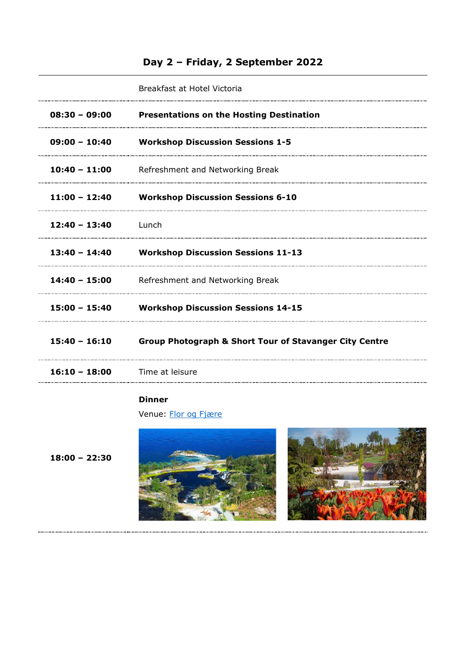## **Day 2 – Friday, 2 September 2022**

|                 | Breakfast at Hotel Victoria                                       |
|-----------------|-------------------------------------------------------------------|
| $08:30 - 09:00$ | <b>Presentations on the Hosting Destination</b>                   |
| 09:00 - 10:40   | <b>Workshop Discussion Sessions 1-5</b>                           |
|                 | 10:40 - 11:00 Refreshment and Networking Break                    |
|                 | 11:00 - 12:40 Workshop Discussion Sessions 6-10                   |
| $12:40 - 13:40$ | <u>Lunch</u>                                                      |
|                 | 13:40 - 14:40 Workshop Discussion Sessions 11-13                  |
|                 | 14:40 - 15:00 Refreshment and Networking Break                    |
|                 | 15:00 - 15:40 Workshop Discussion Sessions 14-15                  |
| 15:40 - 16:10   | <b>Group Photograph &amp; Short Tour of Stavanger City Centre</b> |
| $16:10 - 18:00$ | Time at leisure                                                   |
|                 |                                                                   |

#### **Dinner**

Venue: [Flor og Fjære](https://florogfjare.no/en/)

**18:00 – 22:30**